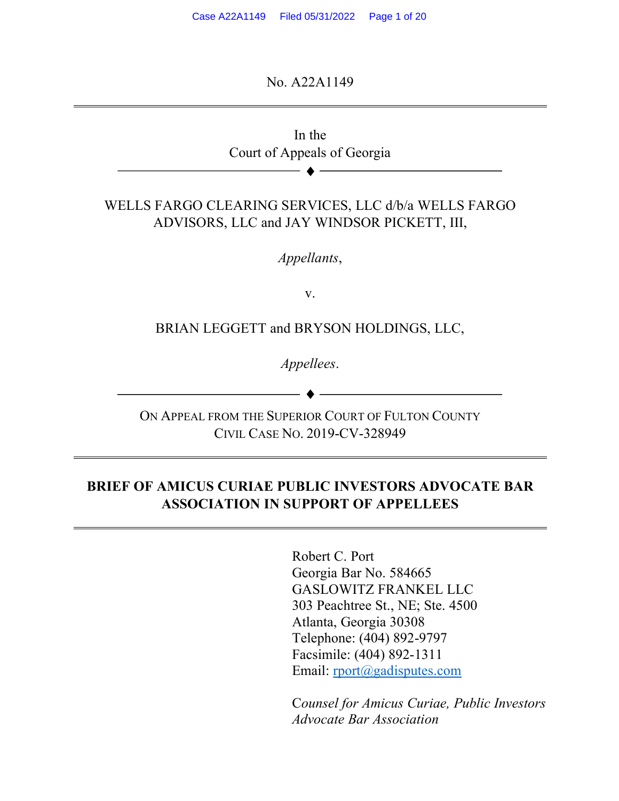No. A22A1149



ON APPEAL FROM THE SUPERIOR COURT OF FULTON COUNTY CIVIL CASE NO. 2019-CV-328949

### **BRIEF OF AMICUS CURIAE PUBLIC INVESTORS ADVOCATE BAR ASSOCIATION IN SUPPORT OF APPELLEES**

Robert C. Port Georgia Bar No. 584665 GASLOWITZ FRANKEL LLC 303 Peachtree St., NE; Ste. 4500 Atlanta, Georgia 30308 Telephone: (404) 892-9797 Facsimile: (404) 892-1311 Email: rport@gadisputes.com

C*ounsel for Amicus Curiae, Public Investors Advocate Bar Association*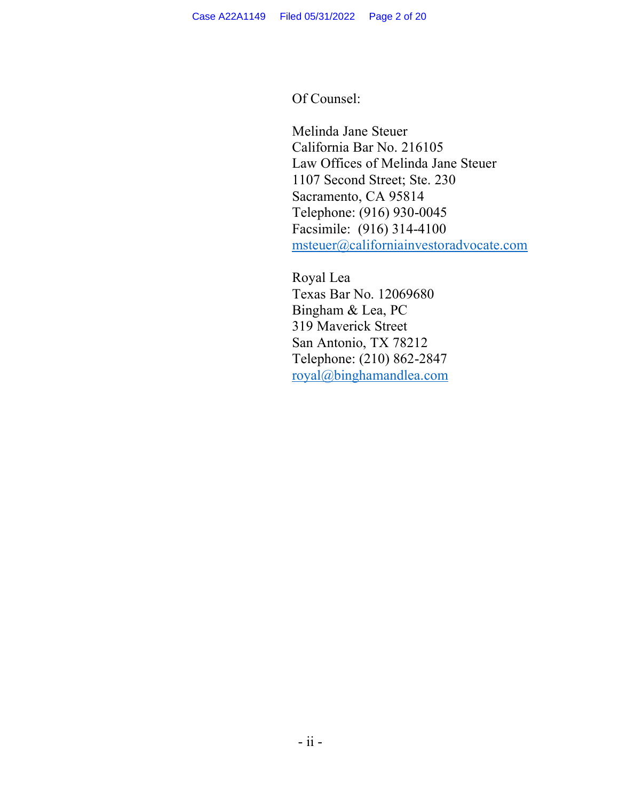Of Counsel:

Melinda Jane Steuer California Bar No. 216105 Law Offices of Melinda Jane Steuer 1107 Second Street; Ste. 230 Sacramento, CA 95814 Telephone: (916) 930-0045 Facsimile: (916) 314-4100 msteuer@californiainvestoradvocate.com

Royal Lea Texas Bar No. 12069680 Bingham & Lea, PC 319 Maverick Street San Antonio, TX 78212 Telephone: (210) 862-2847 royal@binghamandlea.com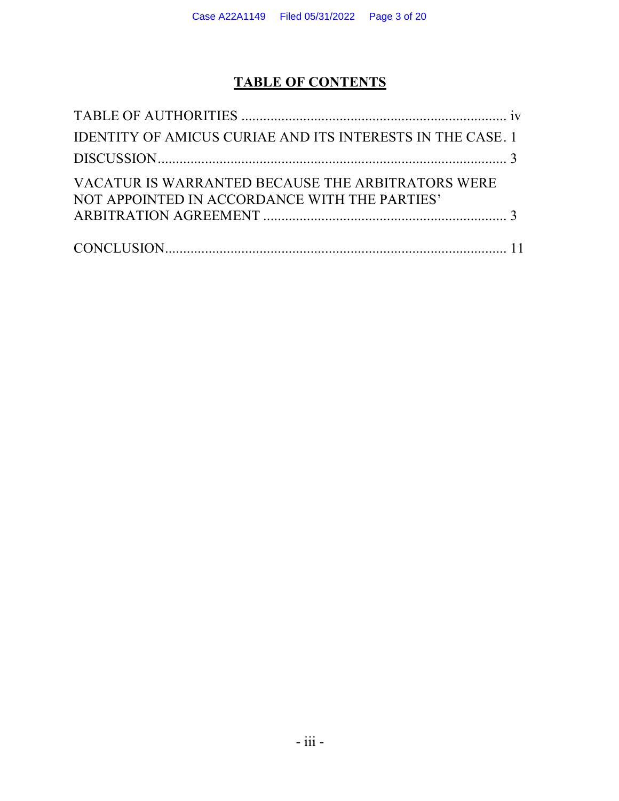# **TABLE OF CONTENTS**

| <b>IDENTITY OF AMICUS CURIAE AND ITS INTERESTS IN THE CASE, 1</b>                                  |  |
|----------------------------------------------------------------------------------------------------|--|
|                                                                                                    |  |
| VACATUR IS WARRANTED BECAUSE THE ARBITRATORS WERE<br>NOT APPOINTED IN ACCORDANCE WITH THE PARTIES' |  |
|                                                                                                    |  |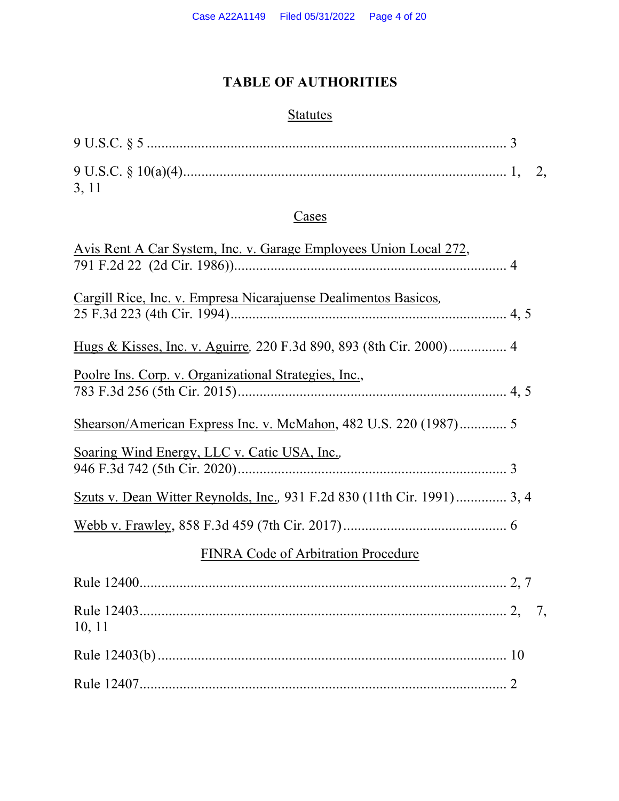# **TABLE OF AUTHORITIES**

# **Statutes**

| $9 U.S.C. § 5            3$ |  |
|-----------------------------|--|
| 3, 11                       |  |

## **Cases**

| <u>Avis Rent A Car System, Inc. v. Garage Employees Union Local 272,</u> |
|--------------------------------------------------------------------------|
|                                                                          |
| Cargill Rice, Inc. v. Empresa Nicarajuense Dealimentos Basicos,          |
|                                                                          |
| Poolre Ins. Corp. v. Organizational Strategies, Inc.,                    |
|                                                                          |
| Soaring Wind Energy, LLC v. Catic USA, Inc.,                             |
|                                                                          |
|                                                                          |
| <b>FINRA Code of Arbitration Procedure</b>                               |
|                                                                          |
| 10, 11                                                                   |
|                                                                          |
|                                                                          |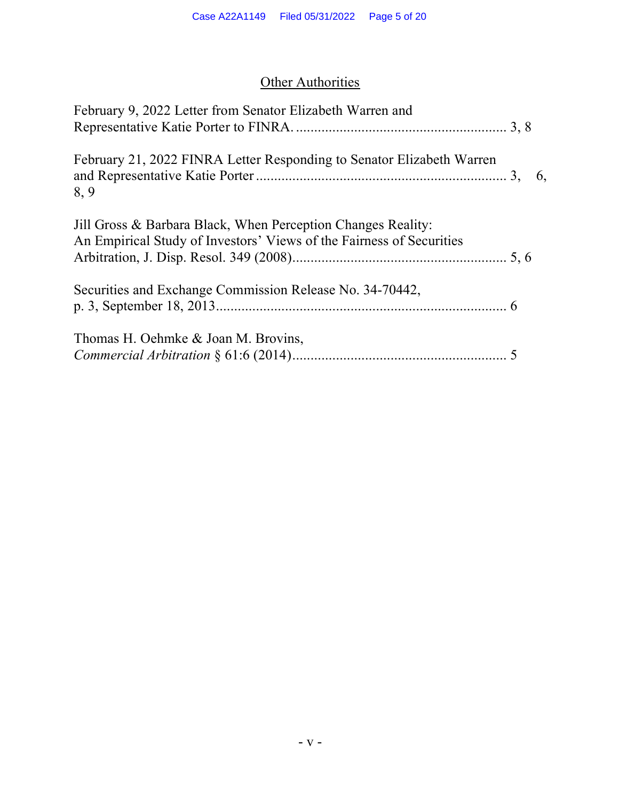# **Other Authorities**

| February 9, 2022 Letter from Senator Elizabeth Warren and                                                                            |    |
|--------------------------------------------------------------------------------------------------------------------------------------|----|
|                                                                                                                                      |    |
| February 21, 2022 FINRA Letter Responding to Senator Elizabeth Warren<br>8,9                                                         | 6, |
| Jill Gross & Barbara Black, When Perception Changes Reality:<br>An Empirical Study of Investors' Views of the Fairness of Securities |    |
| Securities and Exchange Commission Release No. 34-70442.                                                                             |    |
| Thomas H. Oehmke & Joan M. Brovins,                                                                                                  |    |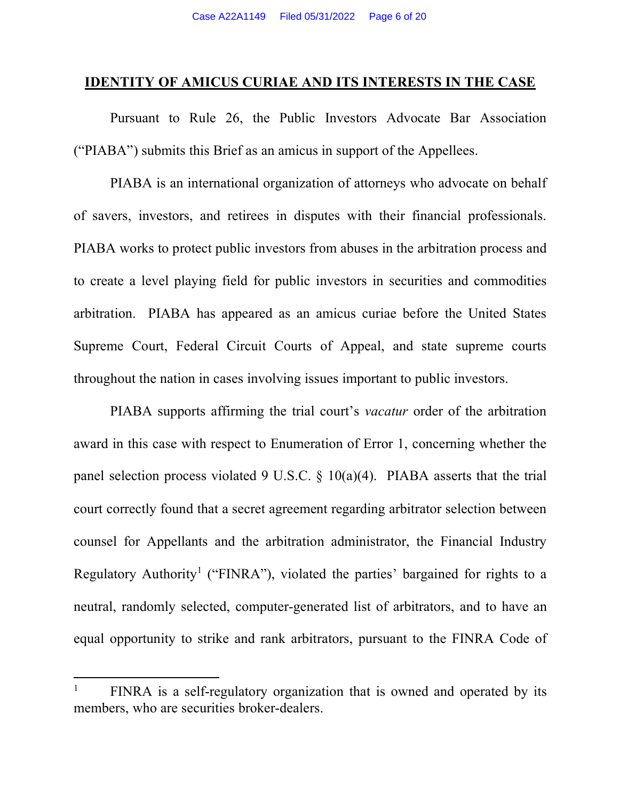#### **IDENTITY OF AMICUS CURIAE AND ITS INTERESTS IN THE CASE**

Pursuant to Rule 26, the Public Investors Advocate Bar Association ("PIABA") submits this Brief as an amicus in support of the Appellees.

PIABA is an international organization of attorneys who advocate on behalf of savers, investors, and retirees in disputes with their financial professionals. PIABA works to protect public investors from abuses in the arbitration process and to create a level playing field for public investors in securities and commodities arbitration. PIABA has appeared as an amicus curiae before the United States Supreme Court, Federal Circuit Courts of Appeal, and state supreme courts throughout the nation in cases involving issues important to public investors.

PIABA supports affirming the trial court's *vacatur* order of the arbitration award in this case with respect to Enumeration of Error 1, concerning whether the panel selection process violated 9 U.S.C.  $\S$  10(a)(4). PIABA asserts that the trial court correctly found that a secret agreement regarding arbitrator selection between counsel for Appellants and the arbitration administrator, the Financial Industry Regulatory Authority<sup>1</sup> ("FINRA"), violated the parties' bargained for rights to a neutral, randomly selected, computer-generated list of arbitrators, and to have an equal opportunity to strike and rank arbitrators, pursuant to the FINRA Code of

<u>.</u>

<sup>&</sup>lt;sup>1</sup> FINRA is a self-regulatory organization that is owned and operated by its members, who are securities broker-dealers.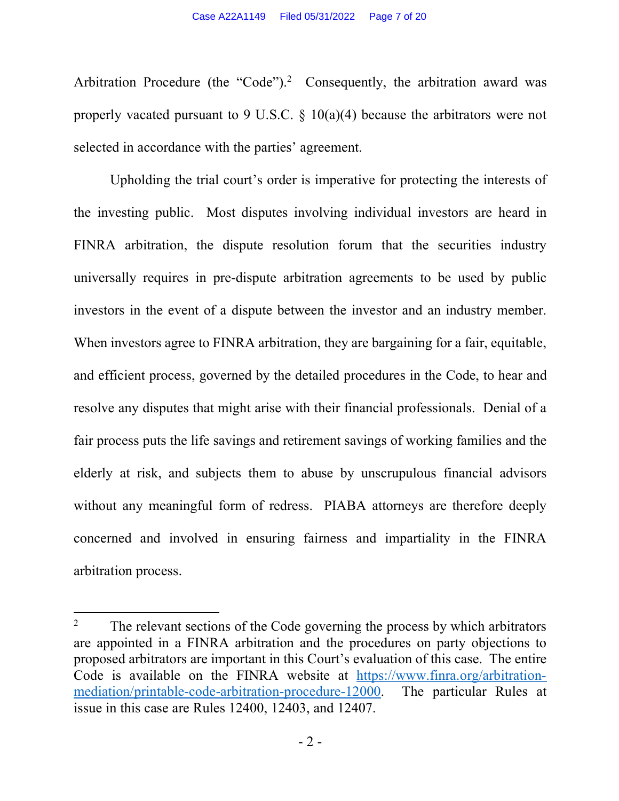Arbitration Procedure (the "Code").<sup>2</sup> Consequently, the arbitration award was properly vacated pursuant to 9 U.S.C.  $\S$  10(a)(4) because the arbitrators were not selected in accordance with the parties' agreement.

Upholding the trial court's order is imperative for protecting the interests of the investing public. Most disputes involving individual investors are heard in FINRA arbitration, the dispute resolution forum that the securities industry universally requires in pre-dispute arbitration agreements to be used by public investors in the event of a dispute between the investor and an industry member. When investors agree to FINRA arbitration, they are bargaining for a fair, equitable, and efficient process, governed by the detailed procedures in the Code, to hear and resolve any disputes that might arise with their financial professionals. Denial of a fair process puts the life savings and retirement savings of working families and the elderly at risk, and subjects them to abuse by unscrupulous financial advisors without any meaningful form of redress. PIABA attorneys are therefore deeply concerned and involved in ensuring fairness and impartiality in the FINRA arbitration process.

 $\overline{a}$ 

<sup>&</sup>lt;sup>2</sup> The relevant sections of the Code governing the process by which arbitrators are appointed in a FINRA arbitration and the procedures on party objections to proposed arbitrators are important in this Court's evaluation of this case. The entire Code is available on the FINRA website at https://www.finra.org/arbitrationmediation/printable-code-arbitration-procedure-12000. The particular Rules at issue in this case are Rules 12400, 12403, and 12407.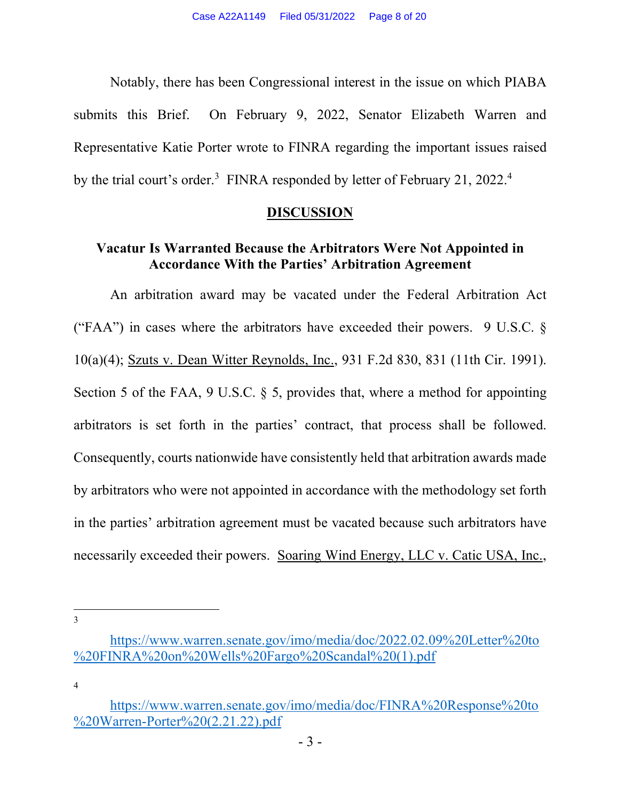Notably, there has been Congressional interest in the issue on which PIABA submits this Brief. On February 9, 2022, Senator Elizabeth Warren and Representative Katie Porter wrote to FINRA regarding the important issues raised by the trial court's order.<sup>3</sup> FINRA responded by letter of February 21, 2022.<sup>4</sup>

#### **DISCUSSION**

### **Vacatur Is Warranted Because the Arbitrators Were Not Appointed in Accordance With the Parties' Arbitration Agreement**

An arbitration award may be vacated under the Federal Arbitration Act ("FAA") in cases where the arbitrators have exceeded their powers. 9 U.S.C.  $\S$ 10(a)(4); Szuts v. Dean Witter Reynolds, Inc., 931 F.2d 830, 831 (11th Cir. 1991). Section 5 of the FAA, 9 U.S.C. § 5, provides that, where a method for appointing arbitrators is set forth in the parties' contract, that process shall be followed. Consequently, courts nationwide have consistently held that arbitration awards made by arbitrators who were not appointed in accordance with the methodology set forth in the parties' arbitration agreement must be vacated because such arbitrators have necessarily exceeded their powers. Soaring Wind Energy, LLC v. Catic USA, Inc.,

**.** 3

4

https://www.warren.senate.gov/imo/media/doc/2022.02.09%20Letter%20to %20FINRA%20on%20Wells%20Fargo%20Scandal%20(1).pdf

https://www.warren.senate.gov/imo/media/doc/FINRA%20Response%20to %20Warren-Porter%20(2.21.22).pdf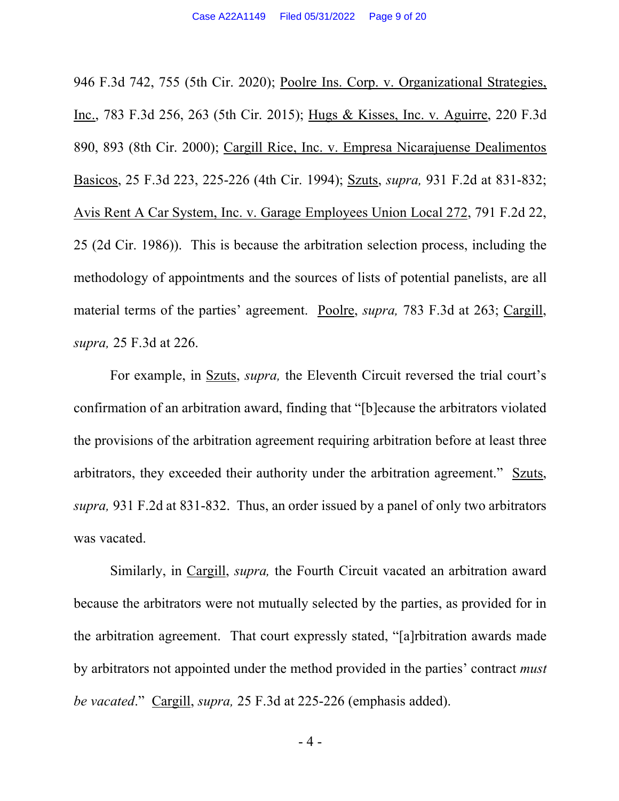946 F.3d 742, 755 (5th Cir. 2020); Poolre Ins. Corp. v. Organizational Strategies, Inc., 783 F.3d 256, 263 (5th Cir. 2015); Hugs & Kisses, Inc. v. Aguirre, 220 F.3d 890, 893 (8th Cir. 2000); Cargill Rice, Inc. v. Empresa Nicarajuense Dealimentos Basicos, 25 F.3d 223, 225-226 (4th Cir. 1994); Szuts, *supra,* 931 F.2d at 831-832; Avis Rent A Car System, Inc. v. Garage Employees Union Local 272, 791 F.2d 22, 25 (2d Cir. 1986)). This is because the arbitration selection process, including the methodology of appointments and the sources of lists of potential panelists, are all material terms of the parties' agreement. Poolre, *supra,* 783 F.3d at 263; Cargill, *supra,* 25 F.3d at 226.

For example, in Szuts, *supra,* the Eleventh Circuit reversed the trial court's confirmation of an arbitration award, finding that "[b]ecause the arbitrators violated the provisions of the arbitration agreement requiring arbitration before at least three arbitrators, they exceeded their authority under the arbitration agreement." Szuts, *supra,* 931 F.2d at 831-832. Thus, an order issued by a panel of only two arbitrators was vacated.

Similarly, in Cargill, *supra,* the Fourth Circuit vacated an arbitration award because the arbitrators were not mutually selected by the parties, as provided for in the arbitration agreement. That court expressly stated, "[a]rbitration awards made by arbitrators not appointed under the method provided in the parties' contract *must be vacated*." Cargill, *supra,* 25 F.3d at 225-226 (emphasis added).

- 4 -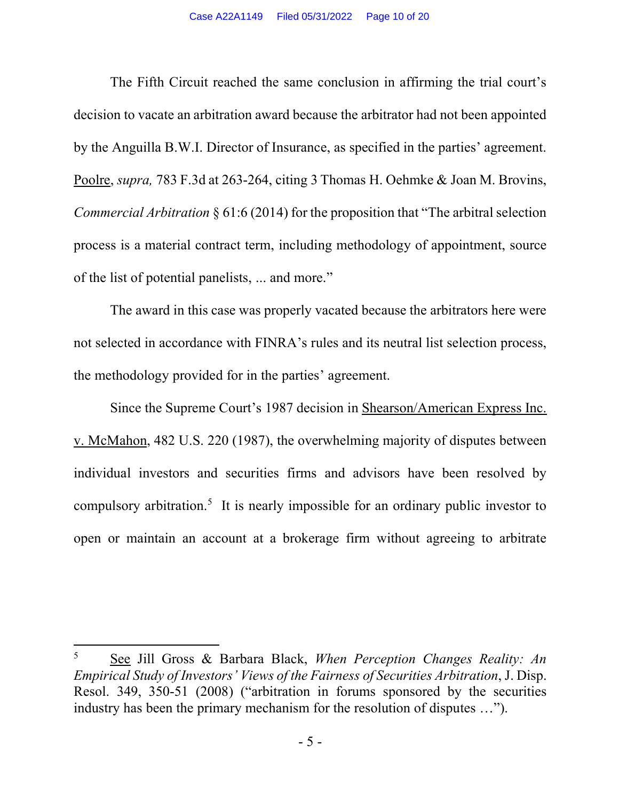The Fifth Circuit reached the same conclusion in affirming the trial court's decision to vacate an arbitration award because the arbitrator had not been appointed by the Anguilla B.W.I. Director of Insurance, as specified in the parties' agreement. Poolre, *supra,* 783 F.3d at 263-264, citing 3 Thomas H. Oehmke & Joan M. Brovins, *Commercial Arbitration* § 61:6 (2014) for the proposition that "The arbitral selection process is a material contract term, including methodology of appointment, source of the list of potential panelists, ... and more."

The award in this case was properly vacated because the arbitrators here were not selected in accordance with FINRA's rules and its neutral list selection process, the methodology provided for in the parties' agreement.

Since the Supreme Court's 1987 decision in Shearson/American Express Inc. v. McMahon, 482 U.S. 220 (1987), the overwhelming majority of disputes between individual investors and securities firms and advisors have been resolved by compulsory arbitration.<sup>5</sup> It is nearly impossible for an ordinary public investor to open or maintain an account at a brokerage firm without agreeing to arbitrate

<u>.</u>

<sup>5</sup> See Jill Gross & Barbara Black, *When Perception Changes Reality: An Empirical Study of Investors' Views of the Fairness of Securities Arbitration*, J. Disp. Resol. 349, 350-51 (2008) ("arbitration in forums sponsored by the securities industry has been the primary mechanism for the resolution of disputes …").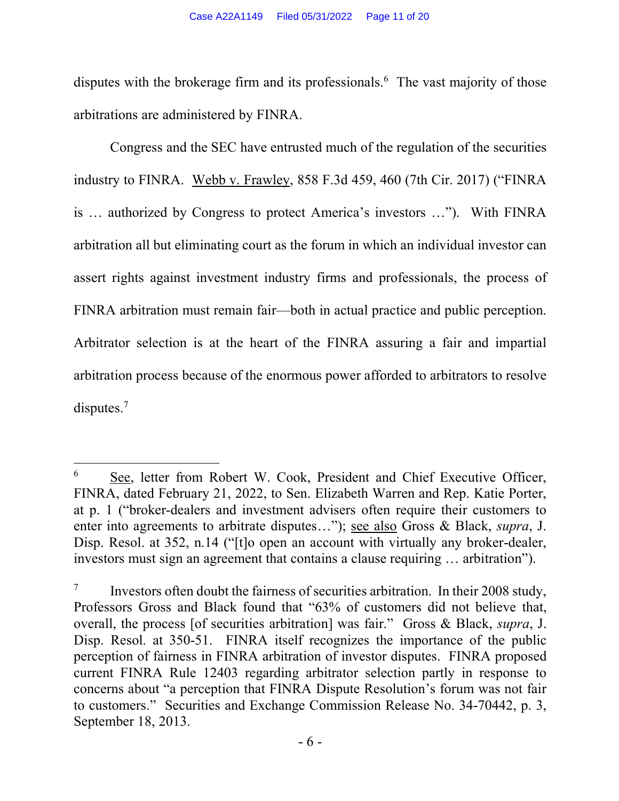disputes with the brokerage firm and its professionals.<sup>6</sup> The vast majority of those arbitrations are administered by FINRA.

Congress and the SEC have entrusted much of the regulation of the securities industry to FINRA. Webb v. Frawley, 858 F.3d 459, 460 (7th Cir. 2017) ("FINRA is … authorized by Congress to protect America's investors …"). With FINRA arbitration all but eliminating court as the forum in which an individual investor can assert rights against investment industry firms and professionals, the process of FINRA arbitration must remain fair—both in actual practice and public perception. Arbitrator selection is at the heart of the FINRA assuring a fair and impartial arbitration process because of the enormous power afforded to arbitrators to resolve disputes. 7

**.** 

<sup>&</sup>lt;sup>6</sup> See, letter from Robert W. Cook, President and Chief Executive Officer, FINRA, dated February 21, 2022, to Sen. Elizabeth Warren and Rep. Katie Porter, at p. 1 ("broker-dealers and investment advisers often require their customers to enter into agreements to arbitrate disputes…"); see also Gross & Black, *supra*, J. Disp. Resol. at 352, n.14 ("[t]o open an account with virtually any broker-dealer, investors must sign an agreement that contains a clause requiring … arbitration").

 $7 \text{1}$  Investors often doubt the fairness of securities arbitration. In their 2008 study, Professors Gross and Black found that "63% of customers did not believe that, overall, the process [of securities arbitration] was fair." Gross & Black, *supra*, J. Disp. Resol. at 350-51. FINRA itself recognizes the importance of the public perception of fairness in FINRA arbitration of investor disputes. FINRA proposed current FINRA Rule 12403 regarding arbitrator selection partly in response to concerns about "a perception that FINRA Dispute Resolution's forum was not fair to customers." Securities and Exchange Commission Release No. 34-70442, p. 3, September 18, 2013.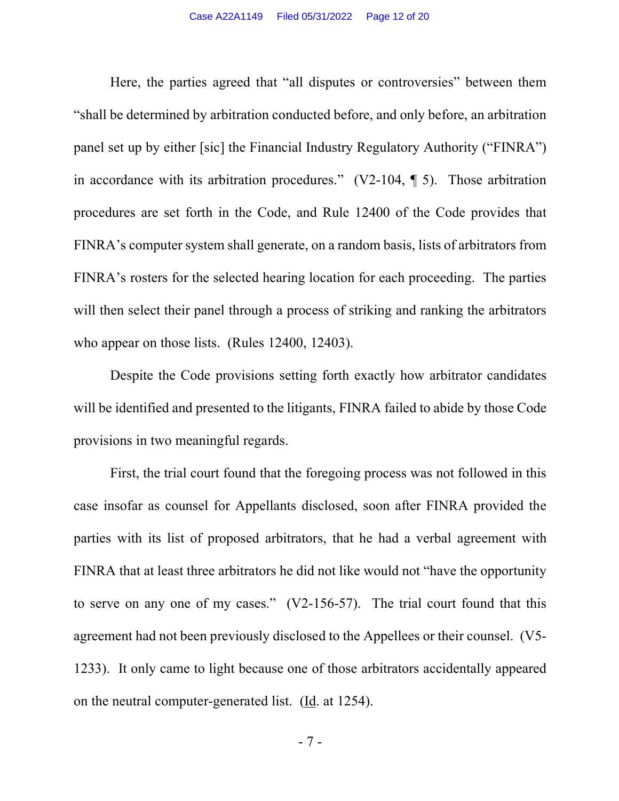Here, the parties agreed that "all disputes or controversies" between them "shall be determined by arbitration conducted before, and only before, an arbitration panel set up by either [sic] the Financial Industry Regulatory Authority ("FINRA") in accordance with its arbitration procedures." (V2-104, ¶ 5). Those arbitration procedures are set forth in the Code, and Rule 12400 of the Code provides that FINRA's computer system shall generate, on a random basis, lists of arbitrators from FINRA's rosters for the selected hearing location for each proceeding. The parties will then select their panel through a process of striking and ranking the arbitrators who appear on those lists. (Rules 12400, 12403).

Despite the Code provisions setting forth exactly how arbitrator candidates will be identified and presented to the litigants, FINRA failed to abide by those Code provisions in two meaningful regards.

First, the trial court found that the foregoing process was not followed in this case insofar as counsel for Appellants disclosed, soon after FINRA provided the parties with its list of proposed arbitrators, that he had a verbal agreement with FINRA that at least three arbitrators he did not like would not "have the opportunity to serve on any one of my cases." (V2-156-57). The trial court found that this agreement had not been previously disclosed to the Appellees or their counsel. (V5- 1233). It only came to light because one of those arbitrators accidentally appeared on the neutral computer-generated list. (Id. at 1254).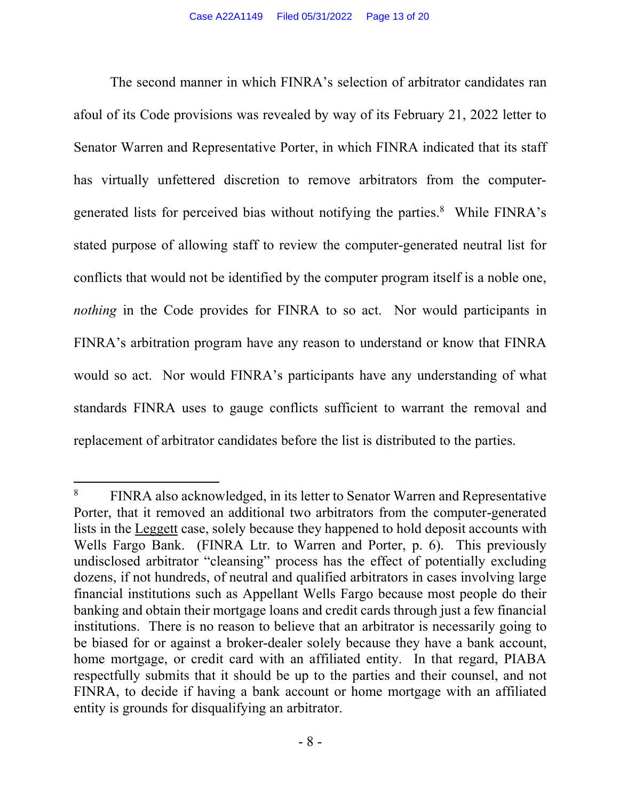The second manner in which FINRA's selection of arbitrator candidates ran afoul of its Code provisions was revealed by way of its February 21, 2022 letter to Senator Warren and Representative Porter, in which FINRA indicated that its staff has virtually unfettered discretion to remove arbitrators from the computergenerated lists for perceived bias without notifying the parties.<sup>8</sup> While FINRA's stated purpose of allowing staff to review the computer-generated neutral list for conflicts that would not be identified by the computer program itself is a noble one, *nothing* in the Code provides for FINRA to so act. Nor would participants in FINRA's arbitration program have any reason to understand or know that FINRA would so act. Nor would FINRA's participants have any understanding of what standards FINRA uses to gauge conflicts sufficient to warrant the removal and replacement of arbitrator candidates before the list is distributed to the parties.

**.** 

<sup>8</sup> FINRA also acknowledged, in its letter to Senator Warren and Representative Porter, that it removed an additional two arbitrators from the computer-generated lists in the Leggett case, solely because they happened to hold deposit accounts with Wells Fargo Bank. (FINRA Ltr. to Warren and Porter, p. 6). This previously undisclosed arbitrator "cleansing" process has the effect of potentially excluding dozens, if not hundreds, of neutral and qualified arbitrators in cases involving large financial institutions such as Appellant Wells Fargo because most people do their banking and obtain their mortgage loans and credit cards through just a few financial institutions. There is no reason to believe that an arbitrator is necessarily going to be biased for or against a broker-dealer solely because they have a bank account, home mortgage, or credit card with an affiliated entity. In that regard, PIABA respectfully submits that it should be up to the parties and their counsel, and not FINRA, to decide if having a bank account or home mortgage with an affiliated entity is grounds for disqualifying an arbitrator.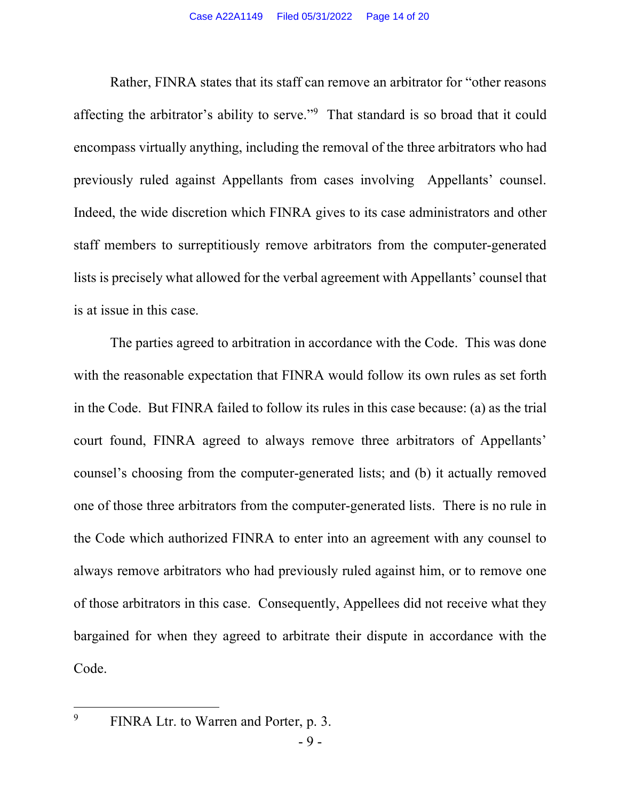Rather, FINRA states that its staff can remove an arbitrator for "other reasons affecting the arbitrator's ability to serve."9 That standard is so broad that it could encompass virtually anything, including the removal of the three arbitrators who had previously ruled against Appellants from cases involving Appellants' counsel. Indeed, the wide discretion which FINRA gives to its case administrators and other staff members to surreptitiously remove arbitrators from the computer-generated lists is precisely what allowed for the verbal agreement with Appellants' counsel that is at issue in this case.

The parties agreed to arbitration in accordance with the Code. This was done with the reasonable expectation that FINRA would follow its own rules as set forth in the Code. But FINRA failed to follow its rules in this case because: (a) as the trial court found, FINRA agreed to always remove three arbitrators of Appellants' counsel's choosing from the computer-generated lists; and (b) it actually removed one of those three arbitrators from the computer-generated lists. There is no rule in the Code which authorized FINRA to enter into an agreement with any counsel to always remove arbitrators who had previously ruled against him, or to remove one of those arbitrators in this case. Consequently, Appellees did not receive what they bargained for when they agreed to arbitrate their dispute in accordance with the Code.

**.** 

<sup>9</sup> FINRA Ltr. to Warren and Porter, p. 3.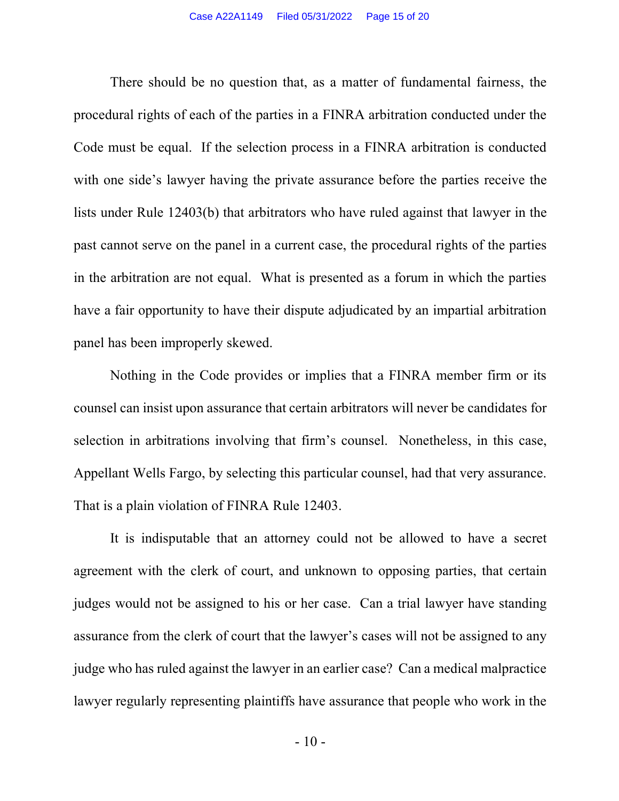There should be no question that, as a matter of fundamental fairness, the procedural rights of each of the parties in a FINRA arbitration conducted under the Code must be equal. If the selection process in a FINRA arbitration is conducted with one side's lawyer having the private assurance before the parties receive the lists under Rule 12403(b) that arbitrators who have ruled against that lawyer in the past cannot serve on the panel in a current case, the procedural rights of the parties in the arbitration are not equal. What is presented as a forum in which the parties have a fair opportunity to have their dispute adjudicated by an impartial arbitration panel has been improperly skewed.

Nothing in the Code provides or implies that a FINRA member firm or its counsel can insist upon assurance that certain arbitrators will never be candidates for selection in arbitrations involving that firm's counsel. Nonetheless, in this case, Appellant Wells Fargo, by selecting this particular counsel, had that very assurance. That is a plain violation of FINRA Rule 12403.

It is indisputable that an attorney could not be allowed to have a secret agreement with the clerk of court, and unknown to opposing parties, that certain judges would not be assigned to his or her case. Can a trial lawyer have standing assurance from the clerk of court that the lawyer's cases will not be assigned to any judge who has ruled against the lawyer in an earlier case? Can a medical malpractice lawyer regularly representing plaintiffs have assurance that people who work in the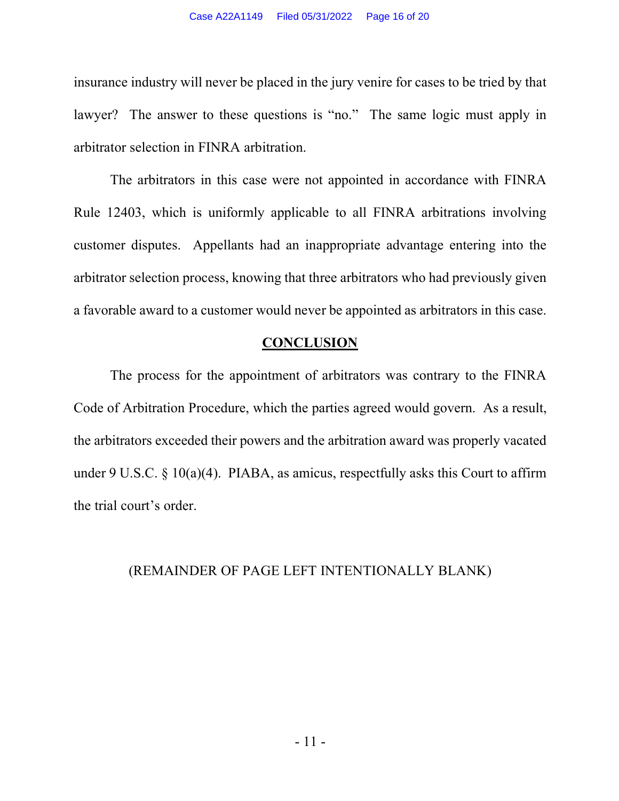insurance industry will never be placed in the jury venire for cases to be tried by that lawyer? The answer to these questions is "no." The same logic must apply in arbitrator selection in FINRA arbitration.

The arbitrators in this case were not appointed in accordance with FINRA Rule 12403, which is uniformly applicable to all FINRA arbitrations involving customer disputes. Appellants had an inappropriate advantage entering into the arbitrator selection process, knowing that three arbitrators who had previously given a favorable award to a customer would never be appointed as arbitrators in this case.

#### **CONCLUSION**

The process for the appointment of arbitrators was contrary to the FINRA Code of Arbitration Procedure, which the parties agreed would govern. As a result, the arbitrators exceeded their powers and the arbitration award was properly vacated under 9 U.S.C.  $\S$  10(a)(4). PIABA, as amicus, respectfully asks this Court to affirm the trial court's order.

#### (REMAINDER OF PAGE LEFT INTENTIONALLY BLANK)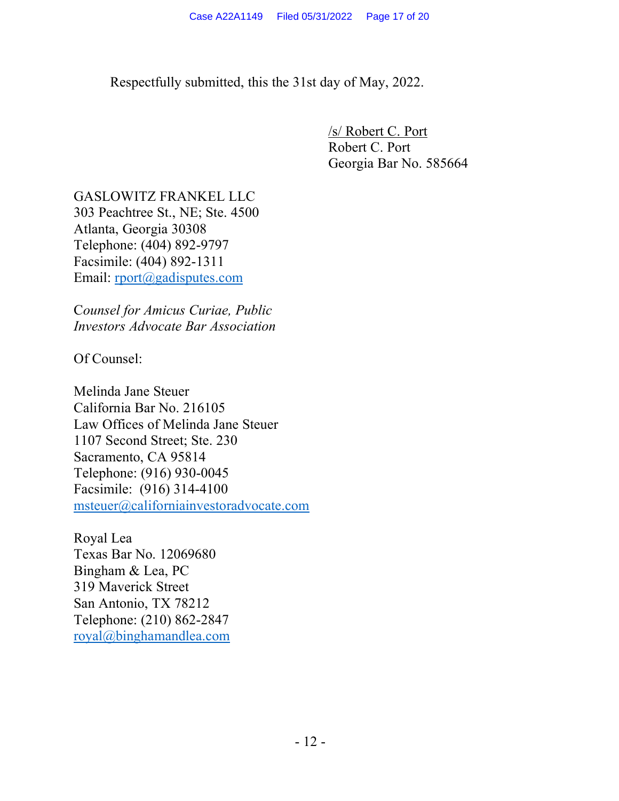Respectfully submitted, this the 31st day of May, 2022.

/s/ Robert C. Port Robert C. Port Georgia Bar No. 585664

GASLOWITZ FRANKEL LLC 303 Peachtree St., NE; Ste. 4500 Atlanta, Georgia 30308 Telephone: (404) 892-9797 Facsimile: (404) 892-1311 Email: rport@gadisputes.com

C*ounsel for Amicus Curiae, Public Investors Advocate Bar Association*

Of Counsel:

Melinda Jane Steuer California Bar No. 216105 Law Offices of Melinda Jane Steuer 1107 Second Street; Ste. 230 Sacramento, CA 95814 Telephone: (916) 930-0045 Facsimile: (916) 314-4100 msteuer@californiainvestoradvocate.com

Royal Lea Texas Bar No. 12069680 Bingham & Lea, PC 319 Maverick Street San Antonio, TX 78212 Telephone: (210) 862-2847 royal@binghamandlea.com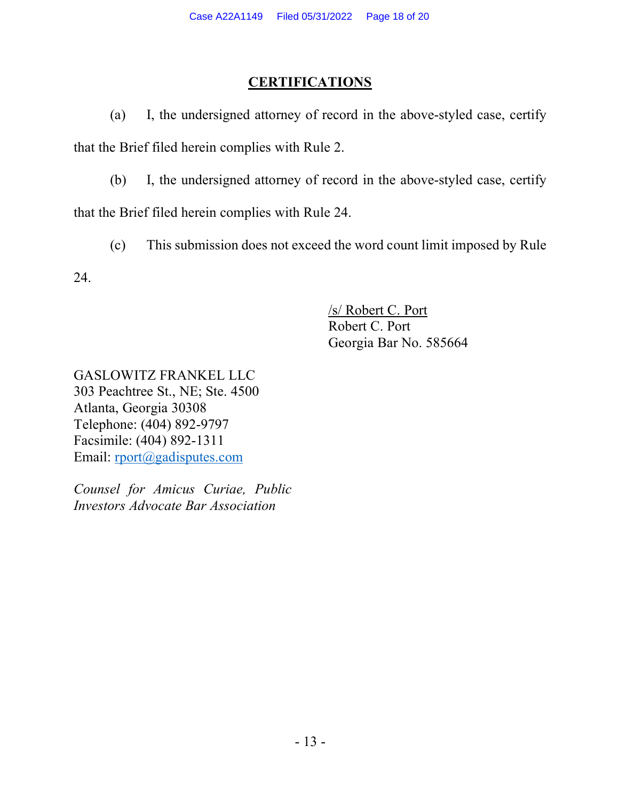### **CERTIFICATIONS**

(a) I, the undersigned attorney of record in the above-styled case, certify that the Brief filed herein complies with Rule 2.

(b) I, the undersigned attorney of record in the above-styled case, certify that the Brief filed herein complies with Rule 24.

(c) This submission does not exceed the word count limit imposed by Rule

24.

/s/ Robert C. Port Robert C. Port Georgia Bar No. 585664

GASLOWITZ FRANKEL LLC 303 Peachtree St., NE; Ste. 4500 Atlanta, Georgia 30308 Telephone: (404) 892-9797 Facsimile: (404) 892-1311 Email: rport@gadisputes.com

*Counsel for Amicus Curiae, Public Investors Advocate Bar Association*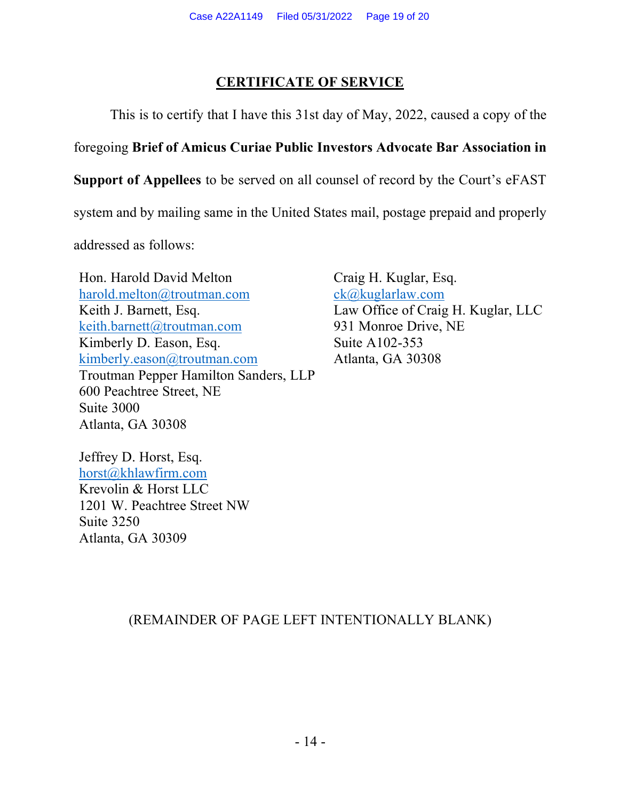## **CERTIFICATE OF SERVICE**

This is to certify that I have this 31st day of May, 2022, caused a copy of the

## foregoing **Brief of Amicus Curiae Public Investors Advocate Bar Association in**

**Support of Appellees** to be served on all counsel of record by the Court's eFAST

system and by mailing same in the United States mail, postage prepaid and properly

addressed as follows:

Hon. Harold David Melton harold.melton@troutman.com Keith J. Barnett, Esq. keith.barnett@troutman.com Kimberly D. Eason, Esq. kimberly.eason@troutman.com Troutman Pepper Hamilton Sanders, LLP 600 Peachtree Street, NE Suite 3000 Atlanta, GA 30308

Craig H. Kuglar, Esq. ck@kuglarlaw.com Law Office of Craig H. Kuglar, LLC 931 Monroe Drive, NE Suite A102-353 Atlanta, GA 30308

Jeffrey D. Horst, Esq. horst@khlawfirm.com Krevolin & Horst LLC 1201 W. Peachtree Street NW Suite 3250 Atlanta, GA 30309

# (REMAINDER OF PAGE LEFT INTENTIONALLY BLANK)